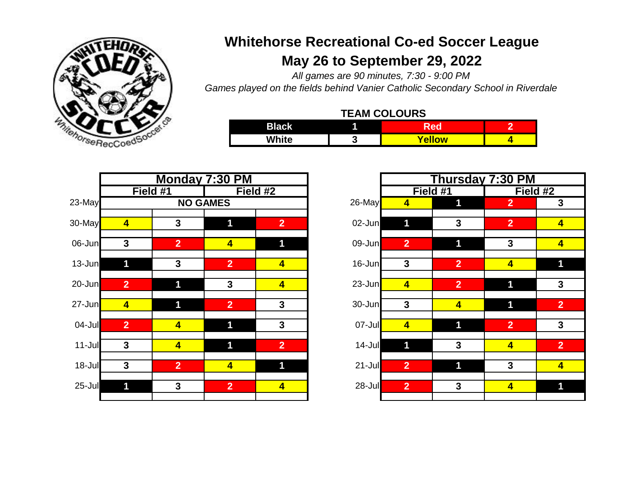

## **May 26 to September 29, 2022 Whitehorse Recreational Co-ed Soccer League**

*All games are 90 minutes, 7:30 - 9:00 PM*

*Games played on the fields behind Vanier Catholic Secondary School in Riverdale*

| <b>TEAM COLOURS</b> |  |  |
|---------------------|--|--|
|---------------------|--|--|

| <b>Black</b> |     |                     | . – |
|--------------|-----|---------------------|-----|
| White        | . . | <i><b>ellow</b></i> |     |

|            |                |                         | Monday 7:30 PM          |                         |        |            |                | Thursday 7:30 PM        |                         |                         |
|------------|----------------|-------------------------|-------------------------|-------------------------|--------|------------|----------------|-------------------------|-------------------------|-------------------------|
|            |                | Field #1                |                         | Field #2                |        |            |                | Field #1                | Field #2                |                         |
| 23-May     |                |                         | <b>NO GAMES</b>         |                         | 26-May |            | 4              | 1                       | 2 <sup>1</sup>          | $\boldsymbol{3}$        |
| 30-May     | $\overline{4}$ | $\mathbf{3}$            | 1                       | 2 <sup>1</sup>          |        | 02-Jun     | 1              | $\mathbf{3}$            | $\overline{2}$          | $\overline{\mathbf{r}}$ |
| 06-Jun     | $\mathbf{3}$   | $\overline{2}$          | $\overline{\mathbf{4}}$ | 1                       |        | $09$ -Jun  | 2 <sup>1</sup> | 1                       | $\mathbf{3}$            | 4                       |
| 13-Jun     | 1              | $\mathbf{3}$            | $\overline{2}$          | $\overline{\mathbf{4}}$ |        | 16-Jun     | $\mathbf{3}$   | 2 <sup>1</sup>          | $\overline{\mathbf{4}}$ | 1                       |
| $20 - Jun$ | $\overline{2}$ | 1                       | $\mathbf{3}$            | $\overline{\mathbf{4}}$ |        | $23$ -Jun  | $\overline{4}$ | $\overline{2}$          | 1                       | 3                       |
| $27 - Jun$ | $\overline{4}$ | 1                       | $\overline{2}$          | $\mathbf{3}$            |        | 30-Jun     | $\mathbf{3}$   | $\overline{\mathbf{4}}$ | 1                       | $\overline{2}$          |
| $04$ -Jul  | $\overline{2}$ | $\overline{4}$          | 1                       | $\mathbf{3}$            |        | $07 -$ Jul | $\overline{4}$ | 1                       | 2 <sup>1</sup>          | $\boldsymbol{3}$        |
| 11-Jul     | $\mathbf{3}$   | $\overline{\mathbf{4}}$ | 1                       | $\overline{2}$          |        | 14-Jul     | 1              | $\mathbf{3}$            | $\overline{4}$          | $\overline{2}$          |
| 18-Jul     | $\mathbf{3}$   | $\overline{2}$          | $\overline{\mathbf{4}}$ | 1                       |        | $21 -$ Jul | $\overline{2}$ | 1                       | $\mathbf{3}$            | $\overline{\mathbf{r}}$ |
| 25-Jul     | 1              | $\mathbf{3}$            | $\overline{2}$          | $\overline{\mathbf{4}}$ |        | $28 -$ Jul | $\overline{2}$ | $\mathbf{3}$            | $\overline{4}$          | $\mathbf 1$             |
|            |                |                         |                         |                         |        |            |                |                         |                         |                         |

| Monday 7:30 PM          |                         |                         |                         |            |                         | <b>Thursday 7:30 PM</b> |                |                         |  |  |
|-------------------------|-------------------------|-------------------------|-------------------------|------------|-------------------------|-------------------------|----------------|-------------------------|--|--|
| Field #1                |                         |                         | Field #2                |            | Field #1<br>Field #2    |                         |                |                         |  |  |
|                         | <b>NO GAMES</b>         |                         |                         | $26$ -May  | $\overline{\mathbf{4}}$ | 1                       | $\overline{2}$ | 3                       |  |  |
| 4                       | $\mathbf{3}$            | 1                       | $\overline{2}$          | 02-Jun     |                         | 3                       | $\overline{2}$ | $\overline{\mathbf{4}}$ |  |  |
|                         |                         |                         |                         |            |                         |                         |                |                         |  |  |
| 3                       | $\overline{2}$          | $\overline{\mathbf{4}}$ | 1                       | $09 - Jun$ | $\overline{2}$          | 1                       | $\mathbf{3}$   | $\overline{\mathbf{4}}$ |  |  |
|                         | $\mathbf{3}$            | 2 <sup>1</sup>          | $\overline{\mathbf{4}}$ | 16-Jun     | $\mathbf{3}$            | $\overline{2}$          | $\overline{4}$ | 11                      |  |  |
|                         |                         |                         |                         |            |                         |                         |                |                         |  |  |
| $\overline{2}$          | 1                       | $\mathbf{3}$            | $\overline{\mathbf{4}}$ | $23$ -Jun  | $\overline{\mathbf{4}}$ | $\overline{2}$          | 1              | $\overline{3}$          |  |  |
| 4                       | 1                       | $\overline{2}$          | $\mathbf{3}$            | 30-Jun     | $\mathbf{3}$            | $\overline{\mathbf{4}}$ | 1              | $\overline{2}$          |  |  |
|                         |                         |                         |                         |            |                         |                         |                |                         |  |  |
| $\overline{2}$          | $\overline{4}$          | 1                       | $\mathbf{3}$            | $07 -$ Jul | $\overline{\mathbf{4}}$ | 1                       | $\overline{2}$ | $\mathbf{3}$            |  |  |
| $\overline{\mathbf{3}}$ | $\overline{\mathbf{4}}$ | 1                       | $\overline{2}$          | 14-Jul     | 1                       | 3                       | $\overline{4}$ | $\overline{2}$          |  |  |
|                         |                         |                         |                         |            |                         |                         |                |                         |  |  |
| $\overline{\mathbf{3}}$ | $\overline{2}$          | $\overline{\mathbf{4}}$ | 1                       | $21 -$ Jul | $\overline{2}$          | $\mathbf 1$             | $\mathbf{3}$   | $\overline{\mathbf{4}}$ |  |  |
|                         |                         |                         |                         |            |                         |                         |                |                         |  |  |
|                         | $\mathbf{3}$            | 2 <sup>1</sup>          | $\overline{\mathbf{4}}$ | $28 -$ Jul | $\overline{2}$          | $\mathbf{3}$            | $\overline{4}$ |                         |  |  |
|                         |                         |                         |                         |            |                         |                         |                |                         |  |  |